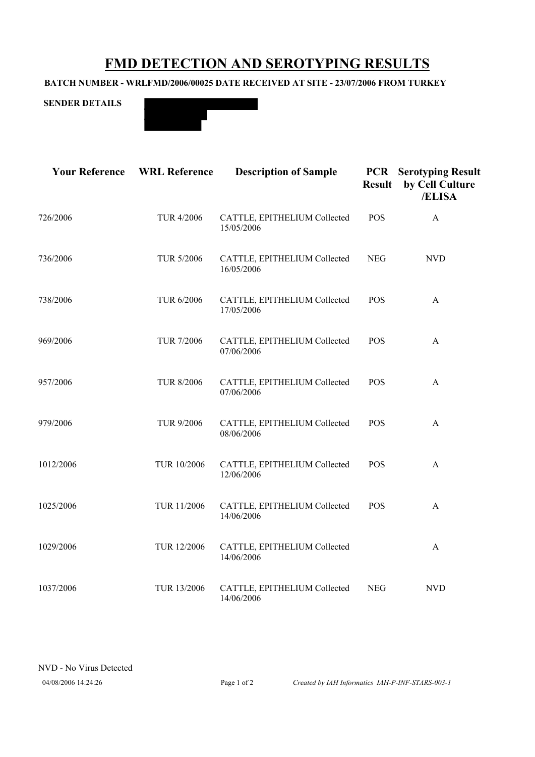## **FMD DETECTION AND SEROTYPING RESULTS**

## **BATCH NUMBER - WRLFMD/2006/00025 DATE RECEIVED AT SITE - 23/07/2006 FROM TURKEY**





| <b>Your Reference</b> | <b>WRL Reference</b> | <b>Description of Sample</b>               | <b>PCR</b><br><b>Result</b> | <b>Serotyping Result</b><br>by Cell Culture<br>/ELISA |
|-----------------------|----------------------|--------------------------------------------|-----------------------------|-------------------------------------------------------|
| 726/2006              | <b>TUR 4/2006</b>    | CATTLE, EPITHELIUM Collected<br>15/05/2006 | <b>POS</b>                  | A                                                     |
| 736/2006              | TUR 5/2006           | CATTLE, EPITHELIUM Collected<br>16/05/2006 | <b>NEG</b>                  | <b>NVD</b>                                            |
| 738/2006              | TUR 6/2006           | CATTLE, EPITHELIUM Collected<br>17/05/2006 | <b>POS</b>                  | A                                                     |
| 969/2006              | <b>TUR 7/2006</b>    | CATTLE, EPITHELIUM Collected<br>07/06/2006 | <b>POS</b>                  | A                                                     |
| 957/2006              | <b>TUR 8/2006</b>    | CATTLE, EPITHELIUM Collected<br>07/06/2006 | <b>POS</b>                  | A                                                     |
| 979/2006              | TUR 9/2006           | CATTLE, EPITHELIUM Collected<br>08/06/2006 | <b>POS</b>                  | A                                                     |
| 1012/2006             | TUR 10/2006          | CATTLE, EPITHELIUM Collected<br>12/06/2006 | <b>POS</b>                  | A                                                     |
| 1025/2006             | TUR 11/2006          | CATTLE, EPITHELIUM Collected<br>14/06/2006 | <b>POS</b>                  | A                                                     |
| 1029/2006             | TUR 12/2006          | CATTLE, EPITHELIUM Collected<br>14/06/2006 |                             | A                                                     |
| 1037/2006             | TUR 13/2006          | CATTLE, EPITHELIUM Collected<br>14/06/2006 | <b>NEG</b>                  | <b>NVD</b>                                            |